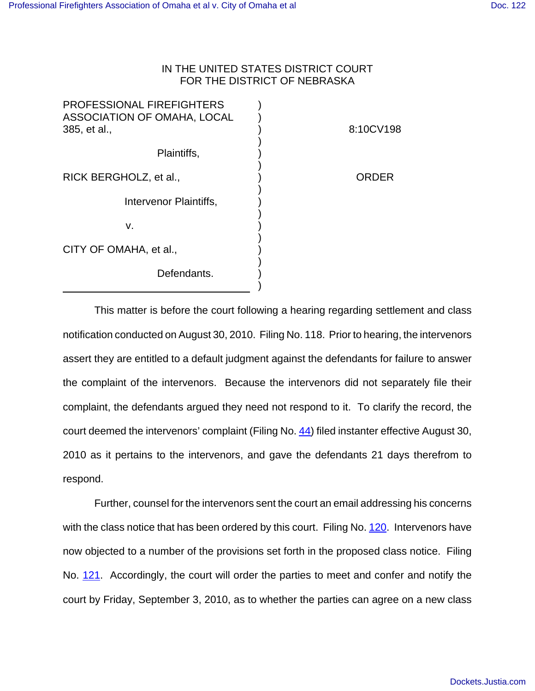## IN THE UNITED STATES DISTRICT COURT FOR THE DISTRICT OF NEBRASKA

| <b>PROFESSIONAL FIREFIGHTERS</b><br>ASSOCIATION OF OMAHA, LOCAL<br>385, et al., | 8:10CV198 |
|---------------------------------------------------------------------------------|-----------|
| Plaintiffs,                                                                     |           |
| RICK BERGHOLZ, et al.,                                                          | ORDER     |
| Intervenor Plaintiffs,                                                          |           |
| v.                                                                              |           |
| CITY OF OMAHA, et al.,                                                          |           |
| Defendants.                                                                     |           |
|                                                                                 |           |

This matter is before the court following a hearing regarding settlement and class notification conducted on August 30, 2010. Filing No. 118. Prior to hearing, the intervenors assert they are entitled to a default judgment against the defendants for failure to answer the complaint of the intervenors. Because the intervenors did not separately file their complaint, the defendants argued they need not respond to it. To clarify the record, the court deemed the intervenors' complaint (Filing No. 44) filed instanter effective August 30, 2010 as it pertains to the intervenors, and gave the defendants 21 days therefrom to respond.

Further, counsel for the intervenors sent the court an email addressing his concerns with the class notice that has been ordered by this court. Filing No. 120. Intervenors have now objected to a number of the provisions set forth in the proposed class notice. Filing No. 121. Accordingly, the court will order the parties to meet and confer and notify the court by Friday, September 3, 2010, as to whether the parties can agree on a new class